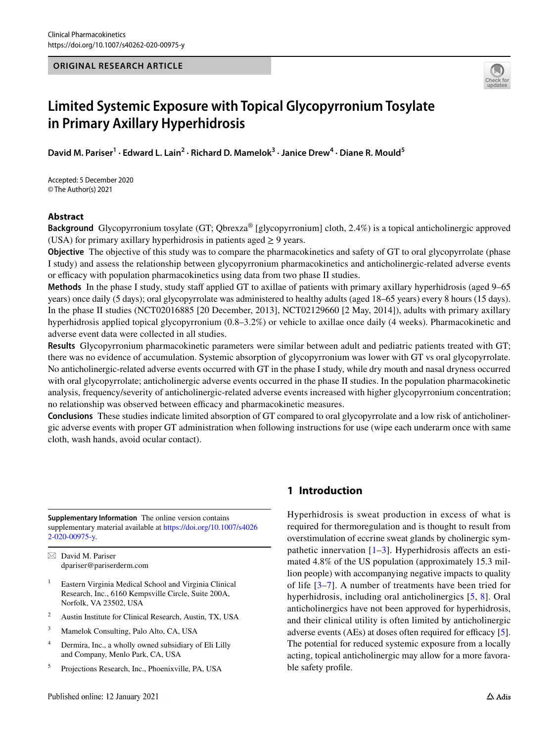## **ORIGINAL RESEARCH ARTICLE**



# **Limited Systemic Exposure with Topical Glycopyrronium Tosylate in Primary Axillary Hyperhidrosis**

David M. Pariser<sup>1</sup> · Edward L. Lain<sup>2</sup> · Richard D. Mamelok<sup>3</sup> · Janice Drew<sup>4</sup> · Diane R. Mould<sup>5</sup>

Accepted: 5 December 2020 © The Author(s) 2021

# **Abstract**

**Background** Glycopyrronium tosylate (GT; Qbrexza® [glycopyrronium] cloth, 2.4%) is a topical anticholinergic approved (USA) for primary axillary hyperhidrosis in patients aged  $\geq$  9 years.

**Objective** The objective of this study was to compare the pharmacokinetics and safety of GT to oral glycopyrrolate (phase I study) and assess the relationship between glycopyrronium pharmacokinetics and anticholinergic-related adverse events or efficacy with population pharmacokinetics using data from two phase II studies.

**Methods** In the phase I study, study staf applied GT to axillae of patients with primary axillary hyperhidrosis (aged 9–65 years) once daily (5 days); oral glycopyrrolate was administered to healthy adults (aged 18–65 years) every 8 hours (15 days). In the phase II studies (NCT02016885 [20 December, 2013], NCT02129660 [2 May, 2014]), adults with primary axillary hyperhidrosis applied topical glycopyrronium (0.8–3.2%) or vehicle to axillae once daily (4 weeks). Pharmacokinetic and adverse event data were collected in all studies.

**Results** Glycopyrronium pharmacokinetic parameters were similar between adult and pediatric patients treated with GT; there was no evidence of accumulation. Systemic absorption of glycopyrronium was lower with GT vs oral glycopyrrolate. No anticholinergic-related adverse events occurred with GT in the phase I study, while dry mouth and nasal dryness occurred with oral glycopyrrolate; anticholinergic adverse events occurred in the phase II studies. In the population pharmacokinetic analysis, frequency/severity of anticholinergic-related adverse events increased with higher glycopyrronium concentration; no relationship was observed between efficacy and pharmacokinetic measures.

**Conclusions** These studies indicate limited absorption of GT compared to oral glycopyrrolate and a low risk of anticholinergic adverse events with proper GT administration when following instructions for use (wipe each underarm once with same cloth, wash hands, avoid ocular contact).

**Supplementary Information** The online version contains supplementary material available at [https://doi.org/10.1007/s4026](https://doi.org/10.1007/s40262-020-00975-y) [2-020-00975-y](https://doi.org/10.1007/s40262-020-00975-y).

 $\boxtimes$  David M. Pariser dpariser@pariserderm.com

- <sup>1</sup> Eastern Virginia Medical School and Virginia Clinical Research, Inc., 6160 Kempsville Circle, Suite 200A, Norfolk, VA 23502, USA
- <sup>2</sup> Austin Institute for Clinical Research, Austin, TX, USA
- <sup>3</sup> Mamelok Consulting, Palo Alto, CA, USA
- <sup>4</sup> Dermira, Inc., a wholly owned subsidiary of Eli Lilly and Company, Menlo Park, CA, USA
- <sup>5</sup> Projections Research, Inc., Phoenixville, PA, USA

# **1 Introduction**

Hyperhidrosis is sweat production in excess of what is required for thermoregulation and is thought to result from overstimulation of eccrine sweat glands by cholinergic sympathetic innervation  $[1-3]$  $[1-3]$ . Hyperhidrosis affects an estimated 4.8% of the US population (approximately 15.3 million people) with accompanying negative impacts to quality of life [[3](#page-10-1)[–7](#page-10-2)]. A number of treatments have been tried for hyperhidrosis, including oral anticholinergics [[5](#page-10-3), [8](#page-10-4)]. Oral anticholinergics have not been approved for hyperhidrosis, and their clinical utility is often limited by anticholinergic adverse events  $(AEs)$  at doses often required for efficacy  $[5]$  $[5]$ . The potential for reduced systemic exposure from a locally acting, topical anticholinergic may allow for a more favorable safety profle.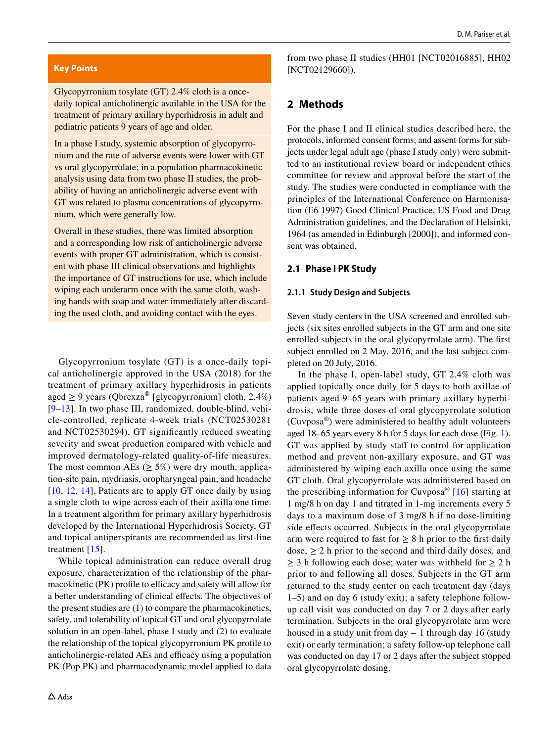## **Key Points**

Glycopyrronium tosylate (GT) 2.4% cloth is a oncedaily topical anticholinergic available in the USA for the treatment of primary axillary hyperhidrosis in adult and pediatric patients 9 years of age and older.

In a phase I study, systemic absorption of glycopyrronium and the rate of adverse events were lower with GT vs oral glycopyrrolate; in a population pharmacokinetic analysis using data from two phase II studies, the probability of having an anticholinergic adverse event with GT was related to plasma concentrations of glycopyrronium, which were generally low.

Overall in these studies, there was limited absorption and a corresponding low risk of anticholinergic adverse events with proper GT administration, which is consistent with phase III clinical observations and highlights the importance of GT instructions for use, which include wiping each underarm once with the same cloth, washing hands with soap and water immediately after discarding the used cloth, and avoiding contact with the eyes.

Glycopyrronium tosylate (GT) is a once-daily topical anticholinergic approved in the USA (2018) for the treatment of primary axillary hyperhidrosis in patients aged  $\geq$  9 years (Qbrexza® [glycopyrronium] cloth, 2.4%) [[9–](#page-10-6)[13](#page-10-7)]. In two phase III, randomized, double-blind, vehicle-controlled, replicate 4-week trials (NCT02530281 and NCT02530294), GT signifcantly reduced sweating severity and sweat production compared with vehicle and improved dermatology-related quality-of-life measures. The most common AEs ( $\geq$  5%) were dry mouth, application-site pain, mydriasis, oropharyngeal pain, and headache [[10,](#page-10-8) [12](#page-10-9), [14](#page-10-10)]. Patients are to apply GT once daily by using a single cloth to wipe across each of their axilla one time. In a treatment algorithm for primary axillary hyperhidrosis developed by the International Hyperhidrosis Society, GT and topical antiperspirants are recommended as frst-line treatment [[15](#page-10-11)].

While topical administration can reduce overall drug exposure, characterization of the relationship of the pharmacokinetic (PK) profile to efficacy and safety will allow for a better understanding of clinical efects. The objectives of the present studies are (1) to compare the pharmacokinetics, safety, and tolerability of topical GT and oral glycopyrrolate solution in an open-label, phase I study and (2) to evaluate the relationship of the topical glycopyrronium PK profle to anticholinergic-related AEs and efficacy using a population PK (Pop PK) and pharmacodynamic model applied to data from two phase II studies (HH01 [NCT02016885], HH02 [NCT02129660]).

## **2 Methods**

For the phase I and II clinical studies described here, the protocols, informed consent forms, and assent forms for subjects under legal adult age (phase I study only) were submitted to an institutional review board or independent ethics committee for review and approval before the start of the study. The studies were conducted in compliance with the principles of the International Conference on Harmonisation (E6 1997) Good Clinical Practice, US Food and Drug Administration guidelines, and the Declaration of Helsinki, 1964 (as amended in Edinburgh [2000]), and informed consent was obtained.

#### **2.1 Phase I PK Study**

#### **2.1.1 Study Design and Subjects**

Seven study centers in the USA screened and enrolled subjects (six sites enrolled subjects in the GT arm and one site enrolled subjects in the oral glycopyrrolate arm). The frst subject enrolled on 2 May, 2016, and the last subject completed on 20 July, 2016.

In the phase I, open-label study, GT 2.4% cloth was applied topically once daily for 5 days to both axillae of patients aged 9–65 years with primary axillary hyperhidrosis, while three doses of oral glycopyrrolate solution (Cuvposa®) were administered to healthy adult volunteers aged 18–65 years every 8 h for 5 days for each dose (Fig. [1](#page-2-0)). GT was applied by study staff to control for application method and prevent non-axillary exposure, and GT was administered by wiping each axilla once using the same GT cloth. Oral glycopyrrolate was administered based on the prescribing information for Cuvposa® [[16](#page-10-5)] starting at 1 mg/8 h on day 1 and titrated in 1-mg increments every 5 days to a maximum dose of 3 mg/8 h if no dose-limiting side effects occurred. Subjects in the oral glycopyrrolate arm were required to fast for  $\geq 8$  h prior to the first daily  $dose, \geq 2$  h prior to the second and third daily doses, and  $\geq$  3 h following each dose; water was withheld for  $\geq$  2 h prior to and following all doses. Subjects in the GT arm returned to the study center on each treatment day (days 1–5) and on day 6 (study exit); a safety telephone followup call visit was conducted on day 7 or 2 days after early termination. Subjects in the oral glycopyrrolate arm were housed in a study unit from day − 1 through day 16 (study exit) or early termination; a safety follow-up telephone call was conducted on day 17 or 2 days after the subject stopped oral glycopyrrolate dosing.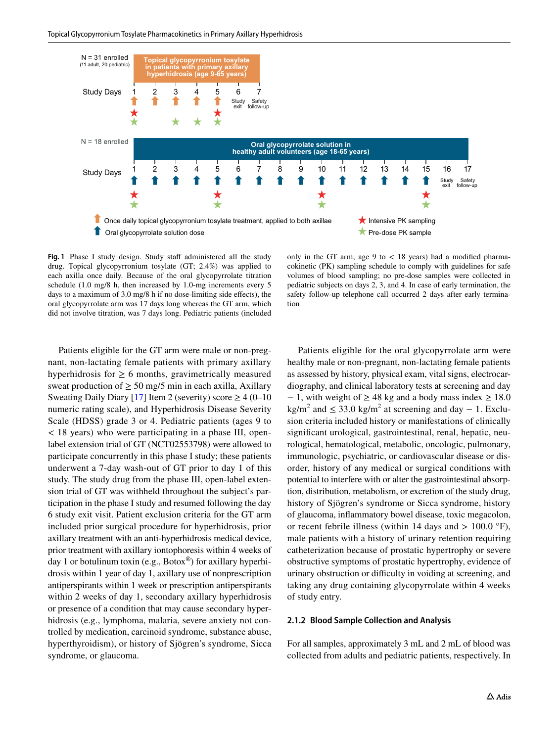

<span id="page-2-0"></span>Fig. 1 Phase I study design. Study staff administered all the study drug. Topical glycopyrronium tosylate (GT; 2.4%) was applied to each axilla once daily. Because of the oral glycopyrrolate titration schedule (1.0 mg/8 h, then increased by 1.0-mg increments every 5 days to a maximum of 3.0 mg/8 h if no dose-limiting side effects), the oral glycopyrrolate arm was 17 days long whereas the GT arm, which did not involve titration, was 7 days long. Pediatric patients (included

only in the GT arm; age  $9$  to  $< 18$  years) had a modified pharmacokinetic (PK) sampling schedule to comply with guidelines for safe volumes of blood sampling; no pre-dose samples were collected in pediatric subjects on days 2, 3, and 4. In case of early termination, the safety follow-up telephone call occurred 2 days after early termination

Patients eligible for the GT arm were male or non-pregnant, non-lactating female patients with primary axillary hyperhidrosis for  $\geq 6$  months, gravimetrically measured sweat production of  $\geq 50$  mg/5 min in each axilla, Axillary Sweating Daily Diary [[17\]](#page-10-12) Item 2 (severity) score  $\geq 4$  (0–10) numeric rating scale), and Hyperhidrosis Disease Severity Scale (HDSS) grade 3 or 4. Pediatric patients (ages 9 to < 18 years) who were participating in a phase III, openlabel extension trial of GT (NCT02553798) were allowed to participate concurrently in this phase I study; these patients underwent a 7-day wash-out of GT prior to day 1 of this study. The study drug from the phase III, open-label extension trial of GT was withheld throughout the subject's participation in the phase I study and resumed following the day 6 study exit visit. Patient exclusion criteria for the GT arm included prior surgical procedure for hyperhidrosis, prior axillary treatment with an anti-hyperhidrosis medical device, prior treatment with axillary iontophoresis within 4 weeks of day 1 or botulinum toxin (e.g.,  $Botox^{\circledast}$ ) for axillary hyperhidrosis within 1 year of day 1, axillary use of nonprescription antiperspirants within 1 week or prescription antiperspirants within 2 weeks of day 1, secondary axillary hyperhidrosis or presence of a condition that may cause secondary hyperhidrosis (e.g., lymphoma, malaria, severe anxiety not controlled by medication, carcinoid syndrome, substance abuse, hyperthyroidism), or history of Sjögren's syndrome, Sicca syndrome, or glaucoma.

Patients eligible for the oral glycopyrrolate arm were healthy male or non-pregnant, non-lactating female patients as assessed by history, physical exam, vital signs, electrocardiography, and clinical laboratory tests at screening and day  $-1$ , with weight of  $\geq 48$  kg and a body mass index  $\geq 18.0$  $\text{kg/m}^2$  and  $\leq 33.0 \text{ kg/m}^2$  at screening and day  $-1$ . Exclusion criteria included history or manifestations of clinically signifcant urological, gastrointestinal, renal, hepatic, neurological, hematological, metabolic, oncologic, pulmonary, immunologic, psychiatric, or cardiovascular disease or disorder, history of any medical or surgical conditions with potential to interfere with or alter the gastrointestinal absorption, distribution, metabolism, or excretion of the study drug, history of Sjögren's syndrome or Sicca syndrome, history of glaucoma, infammatory bowel disease, toxic megacolon, or recent febrile illness (within 14 days and  $> 100.0$  °F), male patients with a history of urinary retention requiring catheterization because of prostatic hypertrophy or severe obstructive symptoms of prostatic hypertrophy, evidence of urinary obstruction or difficulty in voiding at screening, and taking any drug containing glycopyrrolate within 4 weeks of study entry.

#### **2.1.2 Blood Sample Collection and Analysis**

For all samples, approximately 3 mL and 2 mL of blood was collected from adults and pediatric patients, respectively. In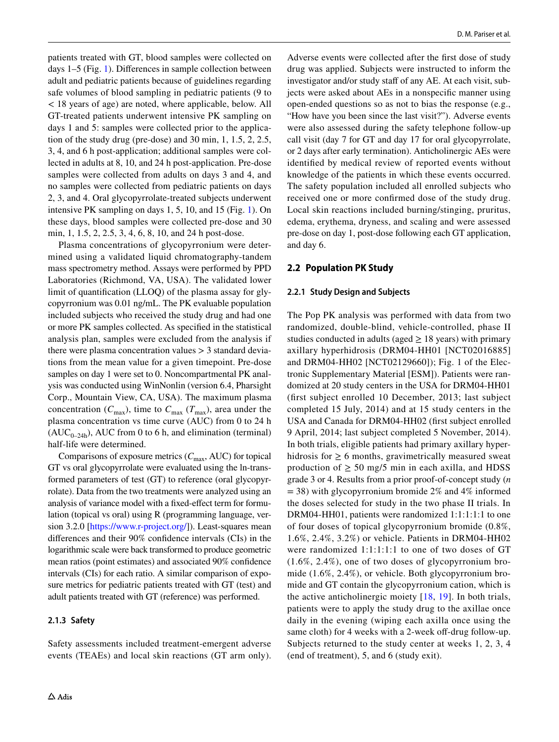patients treated with GT, blood samples were collected on days 1–5 (Fig. [1\)](#page-2-0). Diferences in sample collection between adult and pediatric patients because of guidelines regarding safe volumes of blood sampling in pediatric patients (9 to < 18 years of age) are noted, where applicable, below. All GT-treated patients underwent intensive PK sampling on days 1 and 5: samples were collected prior to the application of the study drug (pre-dose) and 30 min, 1, 1.5, 2, 2.5, 3, 4, and 6 h post-application; additional samples were collected in adults at 8, 10, and 24 h post-application. Pre-dose samples were collected from adults on days 3 and 4, and no samples were collected from pediatric patients on days 2, 3, and 4. Oral glycopyrrolate-treated subjects underwent intensive PK sampling on days 1, 5, 10, and 15 (Fig. [1\)](#page-2-0). On these days, blood samples were collected pre-dose and 30 min, 1, 1.5, 2, 2.5, 3, 4, 6, 8, 10, and 24 h post-dose.

Plasma concentrations of glycopyrronium were determined using a validated liquid chromatography-tandem mass spectrometry method. Assays were performed by PPD Laboratories (Richmond, VA, USA). The validated lower limit of quantifcation (LLOQ) of the plasma assay for glycopyrronium was 0.01 ng/mL. The PK evaluable population included subjects who received the study drug and had one or more PK samples collected. As specifed in the statistical analysis plan, samples were excluded from the analysis if there were plasma concentration values > 3 standard deviations from the mean value for a given timepoint. Pre-dose samples on day 1 were set to 0. Noncompartmental PK analysis was conducted using WinNonlin (version 6.4, Pharsight Corp., Mountain View, CA, USA). The maximum plasma concentration  $(C_{\text{max}})$ , time to  $C_{\text{max}}$  ( $T_{\text{max}}$ ), area under the plasma concentration vs time curve (AUC) from 0 to 24 h  $(AUC_{0-24h})$ , AUC from 0 to 6 h, and elimination (terminal) half-life were determined.

Comparisons of exposure metrics  $(C_{\text{max}}$ , AUC) for topical GT vs oral glycopyrrolate were evaluated using the ln-transformed parameters of test (GT) to reference (oral glycopyrrolate). Data from the two treatments were analyzed using an analysis of variance model with a fxed-efect term for formulation (topical vs oral) using R (programming language, version 3.2.0 [\[https://www.r-project.org/\]](https://www.r-project.org/)). Least-squares mean diferences and their 90% confdence intervals (CIs) in the logarithmic scale were back transformed to produce geometric mean ratios (point estimates) and associated 90% confdence intervals (CIs) for each ratio. A similar comparison of exposure metrics for pediatric patients treated with GT (test) and adult patients treated with GT (reference) was performed.

# **2.1.3 Safety**

Safety assessments included treatment-emergent adverse events (TEAEs) and local skin reactions (GT arm only). Adverse events were collected after the frst dose of study drug was applied. Subjects were instructed to inform the investigator and/or study staff of any AE. At each visit, subjects were asked about AEs in a nonspecifc manner using open-ended questions so as not to bias the response (e.g., "How have you been since the last visit?"). Adverse events were also assessed during the safety telephone follow-up call visit (day 7 for GT and day 17 for oral glycopyrrolate, or 2 days after early termination). Anticholinergic AEs were identifed by medical review of reported events without knowledge of the patients in which these events occurred. The safety population included all enrolled subjects who received one or more confrmed dose of the study drug. Local skin reactions included burning/stinging, pruritus, edema, erythema, dryness, and scaling and were assessed pre-dose on day 1, post-dose following each GT application, and day 6.

# **2.2 Population PK Study**

#### **2.2.1 Study Design and Subjects**

The Pop PK analysis was performed with data from two randomized, double-blind, vehicle-controlled, phase II studies conducted in adults (aged  $> 18$  years) with primary axillary hyperhidrosis (DRM04-HH01 [NCT02016885] and DRM04-HH02 [NCT02129660]); Fig. 1 of the Electronic Supplementary Material [ESM]). Patients were randomized at 20 study centers in the USA for DRM04-HH01 (frst subject enrolled 10 December, 2013; last subject completed 15 July, 2014) and at 15 study centers in the USA and Canada for DRM04-HH02 (frst subject enrolled 9 April, 2014; last subject completed 5 November, 2014). In both trials, eligible patients had primary axillary hyperhidrosis for  $\geq 6$  months, gravimetrically measured sweat production of  $\geq 50$  mg/5 min in each axilla, and HDSS grade 3 or 4. Results from a prior proof-of-concept study (*n*  $= 38$ ) with glycopyrronium bromide 2% and 4% informed the doses selected for study in the two phase II trials. In DRM04-HH01, patients were randomized 1:1:1:1:1 to one of four doses of topical glycopyrronium bromide (0.8%, 1.6%, 2.4%, 3.2%) or vehicle. Patients in DRM04-HH02 were randomized 1:1:1:1:1 to one of two doses of GT (1.6%, 2.4%), one of two doses of glycopyrronium bromide (1.6%, 2.4%), or vehicle. Both glycopyrronium bromide and GT contain the glycopyrronium cation, which is the active anticholinergic moiety [[18,](#page-11-0) [19\]](#page-11-1). In both trials, patients were to apply the study drug to the axillae once daily in the evening (wiping each axilla once using the same cloth) for 4 weeks with a 2-week off-drug follow-up. Subjects returned to the study center at weeks 1, 2, 3, 4 (end of treatment), 5, and 6 (study exit).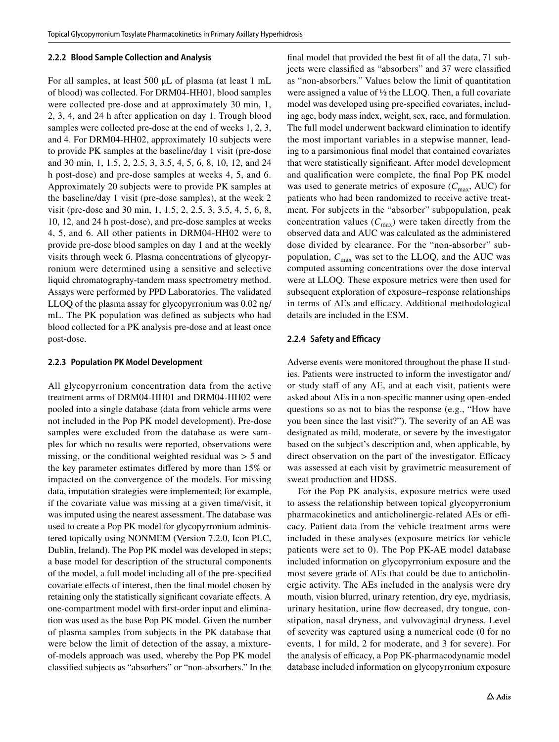#### **2.2.2 Blood Sample Collection and Analysis**

For all samples, at least 500 μL of plasma (at least 1 mL of blood) was collected. For DRM04-HH01, blood samples were collected pre-dose and at approximately 30 min, 1, 2, 3, 4, and 24 h after application on day 1. Trough blood samples were collected pre-dose at the end of weeks 1, 2, 3, and 4. For DRM04-HH02, approximately 10 subjects were to provide PK samples at the baseline/day 1 visit (pre-dose and 30 min, 1, 1.5, 2, 2.5, 3, 3.5, 4, 5, 6, 8, 10, 12, and 24 h post-dose) and pre-dose samples at weeks 4, 5, and 6. Approximately 20 subjects were to provide PK samples at the baseline/day 1 visit (pre-dose samples), at the week 2 visit (pre-dose and 30 min, 1, 1.5, 2, 2.5, 3, 3.5, 4, 5, 6, 8, 10, 12, and 24 h post-dose), and pre-dose samples at weeks 4, 5, and 6. All other patients in DRM04-HH02 were to provide pre-dose blood samples on day 1 and at the weekly visits through week 6. Plasma concentrations of glycopyrronium were determined using a sensitive and selective liquid chromatography-tandem mass spectrometry method. Assays were performed by PPD Laboratories. The validated LLOQ of the plasma assay for glycopyrronium was 0.02 ng/ mL. The PK population was defned as subjects who had blood collected for a PK analysis pre-dose and at least once post-dose.

#### **2.2.3 Population PK Model Development**

All glycopyrronium concentration data from the active treatment arms of DRM04-HH01 and DRM04-HH02 were pooled into a single database (data from vehicle arms were not included in the Pop PK model development). Pre-dose samples were excluded from the database as were samples for which no results were reported, observations were missing, or the conditional weighted residual was  $> 5$  and the key parameter estimates difered by more than 15% or impacted on the convergence of the models. For missing data, imputation strategies were implemented; for example, if the covariate value was missing at a given time/visit, it was imputed using the nearest assessment. The database was used to create a Pop PK model for glycopyrronium administered topically using NONMEM (Version 7.2.0, Icon PLC, Dublin, Ireland). The Pop PK model was developed in steps; a base model for description of the structural components of the model, a full model including all of the pre-specifed covariate efects of interest, then the fnal model chosen by retaining only the statistically signifcant covariate efects. A one-compartment model with frst-order input and elimination was used as the base Pop PK model. Given the number of plasma samples from subjects in the PK database that were below the limit of detection of the assay, a mixtureof-models approach was used, whereby the Pop PK model classifed subjects as "absorbers" or "non-absorbers." In the

fnal model that provided the best ft of all the data, 71 subjects were classifed as "absorbers" and 37 were classifed as "non-absorbers." Values below the limit of quantitation were assigned a value of ½ the LLOQ. Then, a full covariate model was developed using pre-specifed covariates, including age, body mass index, weight, sex, race, and formulation. The full model underwent backward elimination to identify the most important variables in a stepwise manner, leading to a parsimonious fnal model that contained covariates that were statistically signifcant. After model development and qualifcation were complete, the fnal Pop PK model was used to generate metrics of exposure  $(C_{\text{max}}$ , AUC) for patients who had been randomized to receive active treatment. For subjects in the "absorber" subpopulation, peak concentration values  $(C_{\text{max}})$  were taken directly from the observed data and AUC was calculated as the administered dose divided by clearance. For the "non-absorber" subpopulation,  $C_{\text{max}}$  was set to the LLOQ, and the AUC was computed assuming concentrations over the dose interval were at LLOQ. These exposure metrics were then used for subsequent exploration of exposure–response relationships in terms of AEs and efficacy. Additional methodological details are included in the ESM.

## **2.2.4 Safety and Efficacy**

Adverse events were monitored throughout the phase II studies. Patients were instructed to inform the investigator and/ or study staff of any AE, and at each visit, patients were asked about AEs in a non-specifc manner using open-ended questions so as not to bias the response (e.g., "How have you been since the last visit?"). The severity of an AE was designated as mild, moderate, or severe by the investigator based on the subject's description and, when applicable, by direct observation on the part of the investigator. Efficacy was assessed at each visit by gravimetric measurement of sweat production and HDSS.

For the Pop PK analysis, exposure metrics were used to assess the relationship between topical glycopyrronium pharmacokinetics and anticholinergic-related AEs or efficacy. Patient data from the vehicle treatment arms were included in these analyses (exposure metrics for vehicle patients were set to 0). The Pop PK-AE model database included information on glycopyrronium exposure and the most severe grade of AEs that could be due to anticholinergic activity. The AEs included in the analysis were dry mouth, vision blurred, urinary retention, dry eye, mydriasis, urinary hesitation, urine fow decreased, dry tongue, constipation, nasal dryness, and vulvovaginal dryness. Level of severity was captured using a numerical code (0 for no events, 1 for mild, 2 for moderate, and 3 for severe). For the analysis of efficacy, a Pop PK-pharmacodynamic model database included information on glycopyrronium exposure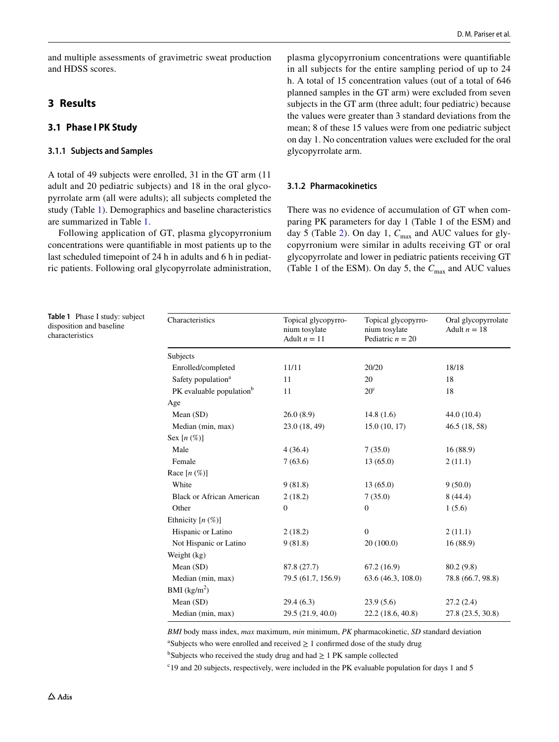and multiple assessments of gravimetric sweat production and HDSS scores.

# **3 Results**

# **3.1 Phase I PK Study**

## **3.1.1 Subjects and Samples**

A total of 49 subjects were enrolled, 31 in the GT arm (11 adult and 20 pediatric subjects) and 18 in the oral glycopyrrolate arm (all were adults); all subjects completed the study (Table [1\)](#page-5-0). Demographics and baseline characteristics are summarized in Table [1](#page-5-0).

Following application of GT, plasma glycopyrronium concentrations were quantifable in most patients up to the last scheduled timepoint of 24 h in adults and 6 h in pediatric patients. Following oral glycopyrrolate administration, plasma glycopyrronium concentrations were quantifable in all subjects for the entire sampling period of up to 24 h. A total of 15 concentration values (out of a total of 646 planned samples in the GT arm) were excluded from seven subjects in the GT arm (three adult; four pediatric) because the values were greater than 3 standard deviations from the mean; 8 of these 15 values were from one pediatric subject on day 1. No concentration values were excluded for the oral glycopyrrolate arm.

## **3.1.2 Pharmacokinetics**

There was no evidence of accumulation of GT when comparing PK parameters for day 1 (Table 1 of the ESM) and day 5 (Table [2\)](#page-6-0). On day 1,  $C_{\text{max}}$  and AUC values for glycopyrronium were similar in adults receiving GT or oral glycopyrrolate and lower in pediatric patients receiving GT (Table 1 of the ESM). On day 5, the  $C_{\text{max}}$  and AUC values

<span id="page-5-0"></span>**Table 1** Phase I study: subject disposition and baseline characteristics

| Characteristics                      | Topical glycopyrro-<br>nium tosylate<br>Adult $n = 11$ | Topical glycopyrro-<br>nium tosylate<br>Pediatric $n = 20$ | Oral glycopyrrolate<br>Adult $n = 18$ |
|--------------------------------------|--------------------------------------------------------|------------------------------------------------------------|---------------------------------------|
| Subjects                             |                                                        |                                                            |                                       |
| Enrolled/completed                   | 11/11                                                  | 20/20                                                      | 18/18                                 |
| Safety population <sup>a</sup>       | 11                                                     | 20                                                         | 18                                    |
| PK evaluable population <sup>b</sup> | 11                                                     | $20^{\circ}$                                               | 18                                    |
| Age                                  |                                                        |                                                            |                                       |
| Mean (SD)                            | 26.0(8.9)                                              | 14.8(1.6)                                                  | 44.0 (10.4)                           |
| Median (min, max)                    | 23.0 (18, 49)                                          | 15.0(10, 17)                                               | 46.5 (18, 58)                         |
| Sex $[n(\%)]$                        |                                                        |                                                            |                                       |
| Male                                 | 4(36.4)                                                | 7(35.0)                                                    | 16(88.9)                              |
| Female                               | 7(63.6)                                                | 13(65.0)                                                   | 2(11.1)                               |
| Race $[n \, (\%)]$                   |                                                        |                                                            |                                       |
| White                                | 9(81.8)                                                | 13(65.0)                                                   | 9(50.0)                               |
| <b>Black or African American</b>     | 2(18.2)                                                | 7(35.0)                                                    | 8(44.4)                               |
| Other                                | $\mathbf{0}$                                           | $\mathbf{0}$                                               | 1(5.6)                                |
| Ethnicity $[n \, (\%)]$              |                                                        |                                                            |                                       |
| Hispanic or Latino                   | 2(18.2)                                                | $\mathbf{0}$                                               | 2(11.1)                               |
| Not Hispanic or Latino               | 9(81.8)                                                | 20(100.0)                                                  | 16(88.9)                              |
| Weight (kg)                          |                                                        |                                                            |                                       |
| Mean (SD)                            | 87.8 (27.7)                                            | 67.2(16.9)                                                 | 80.2 (9.8)                            |
| Median (min, max)                    | 79.5 (61.7, 156.9)                                     | 63.6 (46.3, 108.0)                                         | 78.8 (66.7, 98.8)                     |
| BMI $(kg/m2)$                        |                                                        |                                                            |                                       |
| Mean (SD)                            | 29.4 (6.3)                                             | 23.9(5.6)                                                  | 27.2(2.4)                             |
| Median (min, max)                    | 29.5 (21.9, 40.0)                                      | 22.2 (18.6, 40.8)                                          | 27.8 (23.5, 30.8)                     |

*BMI* body mass index, *max* maximum, *min* minimum, *PK* pharmacokinetic, *SD* standard deviation <sup>a</sup>Subjects who were enrolled and received  $\geq 1$  confirmed dose of the study drug

<sup>b</sup>Subjects who received the study drug and had  $\geq 1$  PK sample collected

<sup>c</sup>19 and 20 subjects, respectively, were included in the PK evaluable population for days 1 and 5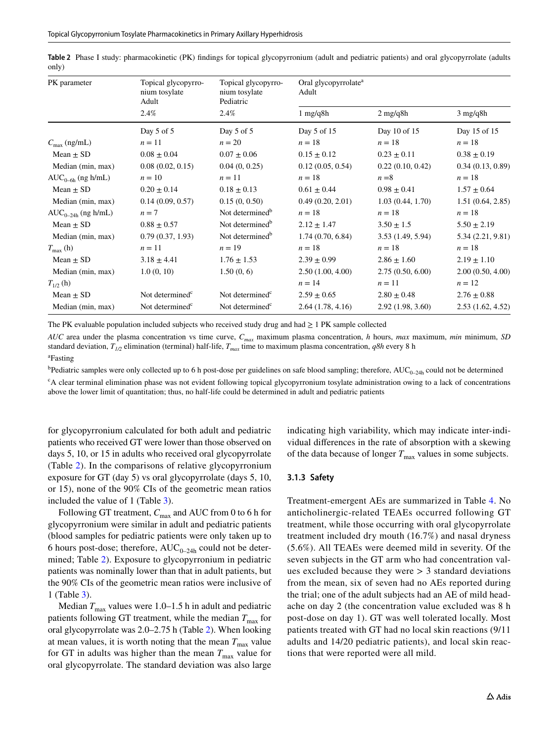| PK parameter             | Topical glycopyrro-<br>nium tosylate<br>Adult | Topical glycopyrro-<br>nium tosylate<br>Pediatric | Oral glycopyrrolate <sup>a</sup><br>Adult |                    |                    |
|--------------------------|-----------------------------------------------|---------------------------------------------------|-------------------------------------------|--------------------|--------------------|
|                          | 2.4%                                          | 2.4%                                              | $1 \text{ mg/q8h}$                        | $2 \text{ mg/q8h}$ | $3 \text{ mg/q8h}$ |
|                          | Day $5$ of $5$                                | Day 5 of 5                                        | Day 5 of 15                               | Day 10 of 15       | Day 15 of 15       |
| $C_{\text{max}}$ (ng/mL) | $n=11$                                        | $n = 20$                                          | $n=18$                                    | $n=18$             | $n=18$             |
| Mean $\pm$ SD            | $0.08 \pm 0.04$                               | $0.07 \pm 0.06$                                   | $0.15 \pm 0.12$                           | $0.23 \pm 0.11$    | $0.38 \pm 0.19$    |
| Median (min, max)        | 0.08(0.02, 0.15)                              | 0.04(0, 0.25)                                     | 0.12(0.05, 0.54)                          | 0.22(0.10, 0.42)   | 0.34(0.13, 0.89)   |
| $AUC_{0-6h}$ (ng h/mL)   | $n = 10$                                      | $n=11$                                            | $n=18$                                    | $n = 8$            | $n=18$             |
| Mean $\pm$ SD            | $0.20 \pm 0.14$                               | $0.18 \pm 0.13$                                   | $0.61 \pm 0.44$                           | $0.98 \pm 0.41$    | $1.57 \pm 0.64$    |
| Median (min, max)        | 0.14(0.09, 0.57)                              | 0.15(0, 0.50)                                     | 0.49(0.20, 2.01)                          | 1.03(0.44, 1.70)   | 1.51(0.64, 2.85)   |
| $AUC_{0-24h}$ (ng h/mL)  | $n=7$                                         | Not determined <sup>b</sup>                       | $n=18$                                    | $n=18$             | $n=18$             |
| Mean $\pm$ SD            | $0.88 \pm 0.57$                               | Not determined <sup>b</sup>                       | $2.12 \pm 1.47$                           | $3.50 \pm 1.5$     | $5.50 \pm 2.19$    |
| Median (min, max)        | 0.79(0.37, 1.93)                              | Not determined <sup>b</sup>                       | 1.74(0.70, 6.84)                          | 3.53(1.49, 5.94)   | 5.34(2.21, 9.81)   |
| $T_{\text{max}}$ (h)     | $n=11$                                        | $n=19$                                            | $n=18$                                    | $n=18$             | $n=18$             |
| Mean $\pm$ SD            | $3.18 \pm 4.41$                               | $1.76 \pm 1.53$                                   | $2.39 \pm 0.99$                           | $2.86 \pm 1.60$    | $2.19 \pm 1.10$    |
| Median (min, max)        | 1.0(0, 10)                                    | 1.50(0, 6)                                        | 2.50(1.00, 4.00)                          | 2.75(0.50, 6.00)   | 2.00(0.50, 4.00)   |
| $T_{1/2}$ (h)            |                                               |                                                   | $n=14$                                    | $n=11$             | $n=12$             |
| Mean $\pm$ SD            | Not determined <sup>c</sup>                   | Not determined <sup>c</sup>                       | $2.59 \pm 0.65$                           | $2.80 \pm 0.48$    | $2.76 \pm 0.88$    |
| Median (min, max)        | Not determined <sup>c</sup>                   | Not determined <sup>c</sup>                       | 2.64(1.78, 4.16)                          | 2.92(1.98, 3.60)   | 2.53(1.62, 4.52)   |

<span id="page-6-0"></span>**Table 2** Phase I study: pharmacokinetic (PK) fndings for topical glycopyrronium (adult and pediatric patients) and oral glycopyrrolate (adults only)

The PK evaluable population included subjects who received study drug and had ≥ 1 PK sample collected

*AUC* area under the plasma concentration vs time curve, *Cmax* maximum plasma concentration, *h* hours, *max* maximum, *min* minimum, *SD* standard deviation, *T1/2* elimination (terminal) half-life, *Tmax* time to maximum plasma concentration, *q8h* every 8 h

a Fasting

 $^{\rm b}$ Pediatric samples were only collected up to 6 h post-dose per guidelines on safe blood sampling; therefore,  $\rm AUC_{0-24h}$  could not be determined

<sup>c</sup>A clear terminal elimination phase was not evident following topical glycopyrronium tosylate administration owing to a lack of concentrations above the lower limit of quantitation; thus, no half-life could be determined in adult and pediatric patients

for glycopyrronium calculated for both adult and pediatric patients who received GT were lower than those observed on days 5, 10, or 15 in adults who received oral glycopyrrolate (Table [2\)](#page-6-0). In the comparisons of relative glycopyrronium exposure for GT (day 5) vs oral glycopyrrolate (days 5, 10, or 15), none of the 90% CIs of the geometric mean ratios included the value of 1 (Table [3](#page-7-0)).

Following GT treatment,  $C_{\text{max}}$  and AUC from 0 to 6 h for glycopyrronium were similar in adult and pediatric patients (blood samples for pediatric patients were only taken up to 6 hours post-dose; therefore,  $AUC_{0-24h}$  could not be determined; Table [2](#page-6-0)). Exposure to glycopyrronium in pediatric patients was nominally lower than that in adult patients, but the 90% CIs of the geometric mean ratios were inclusive of 1 (Table [3\)](#page-7-0).

Median  $T_{\text{max}}$  values were 1.0–1.5 h in adult and pediatric patients following GT treatment, while the median  $T_{\text{max}}$  for oral glycopyrrolate was 2.0–2.75 h (Table [2](#page-6-0)). When looking at mean values, it is worth noting that the mean  $T_{\text{max}}$  value for GT in adults was higher than the mean  $T_{\text{max}}$  value for oral glycopyrrolate. The standard deviation was also large

indicating high variability, which may indicate inter-individual diferences in the rate of absorption with a skewing of the data because of longer  $T_{\text{max}}$  values in some subjects.

#### **3.1.3 Safety**

Treatment-emergent AEs are summarized in Table [4](#page-7-1). No anticholinergic-related TEAEs occurred following GT treatment, while those occurring with oral glycopyrrolate treatment included dry mouth (16.7%) and nasal dryness (5.6%). All TEAEs were deemed mild in severity. Of the seven subjects in the GT arm who had concentration values excluded because they were  $> 3$  standard deviations from the mean, six of seven had no AEs reported during the trial; one of the adult subjects had an AE of mild headache on day 2 (the concentration value excluded was 8 h post-dose on day 1). GT was well tolerated locally. Most patients treated with GT had no local skin reactions (9/11 adults and 14/20 pediatric patients), and local skin reactions that were reported were all mild.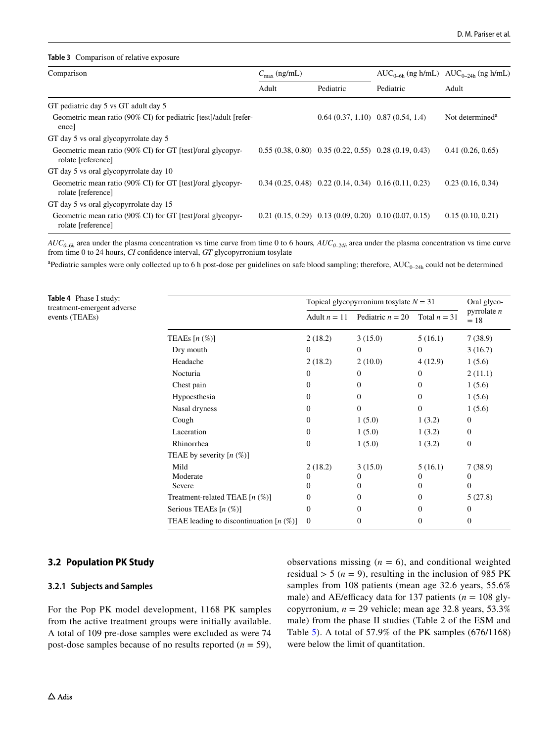#### <span id="page-7-0"></span>**Table 3** Comparison of relative exposure

| Comparison                                                                       | $C_{\text{max}}$ (ng/mL) |                                                          |           | $AUC_{0-6h}$ (ng h/mL) $AUC_{0-24h}$ (ng h/mL) |
|----------------------------------------------------------------------------------|--------------------------|----------------------------------------------------------|-----------|------------------------------------------------|
|                                                                                  | Adult                    | Pediatric                                                | Pediatric | Adult                                          |
| GT pediatric day 5 vs GT adult day 5                                             |                          |                                                          |           |                                                |
| Geometric mean ratio (90% CI) for pediatric [test]/adult [refer-<br>ence         |                          | $0.64(0.37, 1.10)$ $0.87(0.54, 1.4)$                     |           | Not determined <sup>a</sup>                    |
| GT day 5 vs oral glycopyrrolate day 5                                            |                          |                                                          |           |                                                |
| Geometric mean ratio (90% CI) for GT [test]/oral glycopyr-<br>rolate [reference] |                          | $0.55(0.38, 0.80)$ $0.35(0.22, 0.55)$ $0.28(0.19, 0.43)$ |           | 0.41(0.26, 0.65)                               |
| GT day 5 vs oral glycopyrrolate day 10                                           |                          |                                                          |           |                                                |
| Geometric mean ratio (90% CI) for GT [test]/oral glycopyr-<br>rolate [reference] |                          | $0.34(0.25, 0.48)$ $0.22(0.14, 0.34)$ $0.16(0.11, 0.23)$ |           | 0.23(0.16, 0.34)                               |
| GT day 5 vs oral glycopyrrolate day 15                                           |                          |                                                          |           |                                                |
| Geometric mean ratio (90% CI) for GT [test]/oral glycopyr-<br>rolate [reference] |                          | $0.21(0.15, 0.29)$ $0.13(0.09, 0.20)$ $0.10(0.07, 0.15)$ |           | 0.15(0.10, 0.21)                               |

 $AUC_{0-6h}$  area under the plasma concentration vs time curve from time 0 to 6 hours,  $AUC_{0-24h}$  area under the plasma concentration vs time curve from time 0 to 24 hours, *CI* confdence interval, *GT* glycopyrronium tosylate

<sup>a</sup>Pediatric samples were only collected up to 6 h post-dose per guidelines on safe blood sampling; therefore, AUC<sub>0–24h</sub> could not be determined

<span id="page-7-1"></span>**Table 4** Phase I study: treatment-emergent adverse events (TEAEs)

|                                            | Topical glycopyrronium tosylate $N = 31$ |                    |                | Oral glyco-            |
|--------------------------------------------|------------------------------------------|--------------------|----------------|------------------------|
|                                            | Adult $n = 11$                           | Pediatric $n = 20$ | Total $n = 31$ | pyrrolate $n$<br>$=18$ |
| TEAEs $[n \left( % \right)]$               | 2(18.2)                                  | 3(15.0)            | 5(16.1)        | 7(38.9)                |
| Dry mouth                                  | $\overline{0}$                           | $\mathbf{0}$       | $\bf{0}$       | 3(16.7)                |
| Headache                                   | 2(18.2)                                  | 2(10.0)            | 4(12.9)        | 1(5.6)                 |
| Nocturia                                   | $\theta$                                 | $\Omega$           | $\Omega$       | 2(11.1)                |
| Chest pain                                 | $\Omega$                                 | $\Omega$           | $\theta$       | 1(5.6)                 |
| Hypoesthesia                               | $\Omega$                                 | $\Omega$           | $\Omega$       | 1(5.6)                 |
| Nasal dryness                              | $\overline{0}$                           | $\Omega$           | $\Omega$       | 1(5.6)                 |
| Cough                                      | $\overline{0}$                           | 1(5.0)             | 1(3.2)         | $\mathbf{0}$           |
| Laceration                                 | $\theta$                                 | 1(5.0)             | 1(3.2)         | $\Omega$               |
| Rhinorrhea                                 | $\theta$                                 | 1(5.0)             | 1(3.2)         | $\mathbf{0}$           |
| TEAE by severity $[n (\%)]$                |                                          |                    |                |                        |
| Mild                                       | 2(18.2)                                  | 3(15.0)            | 5(16.1)        | 7(38.9)                |
| Moderate                                   | 0                                        | 0                  | 0              | $\Omega$               |
| Severe                                     | 0                                        | $_{0}$             | 0              | $\mathbf{0}$           |
| Treatment-related TEAE $[n \ (\%)]$        | $\mathbf{0}$                             | 0                  | $\bf{0}$       | 5(27.8)                |
| Serious TEAEs $[n \ (\%)]$                 | $\mathbf{0}$                             | 0                  | 0              | 0                      |
| TEAE leading to discontinuation $[n (\%)]$ | $\mathbf{0}$                             | 0                  | $\Omega$       | $\mathbf{0}$           |

## **3.2 Population PK Study**

#### **3.2.1 Subjects and Samples**

For the Pop PK model development, 1168 PK samples from the active treatment groups were initially available. A total of 109 pre-dose samples were excluded as were 74 post-dose samples because of no results reported  $(n = 59)$ ,

observations missing  $(n = 6)$ , and conditional weighted residual  $> 5$  ( $n = 9$ ), resulting in the inclusion of 985 PK samples from 108 patients (mean age 32.6 years, 55.6% male) and AE/efficacy data for 137 patients ( $n = 108$  glycopyrronium, *n* = 29 vehicle; mean age 32.8 years, 53.3% male) from the phase II studies (Table 2 of the ESM and Table [5](#page-8-0)). A total of 57.9% of the PK samples (676/1168) were below the limit of quantitation.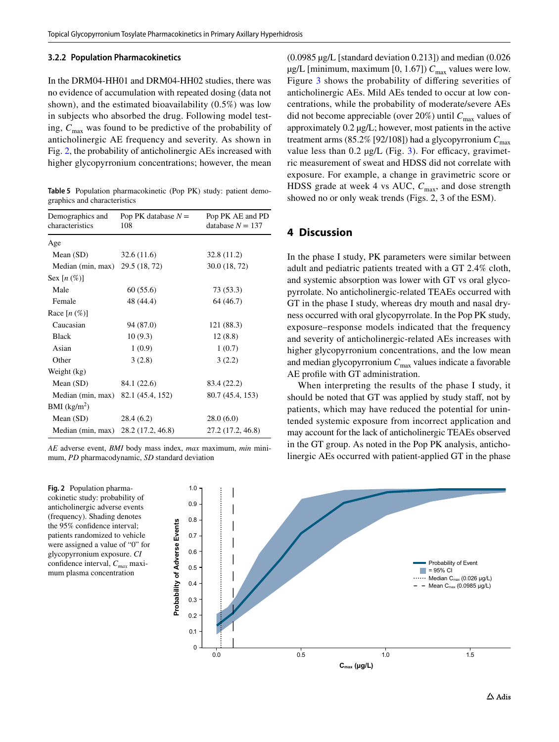#### **3.2.2 Population Pharmacokinetics**

In the DRM04-HH01 and DRM04-HH02 studies, there was no evidence of accumulation with repeated dosing (data not shown), and the estimated bioavailability (0.5%) was low in subjects who absorbed the drug. Following model testing,  $C_{\text{max}}$  was found to be predictive of the probability of anticholinergic AE frequency and severity. As shown in Fig. [2](#page-8-1), the probability of anticholinergic AEs increased with higher glycopyrronium concentrations; however, the mean

<span id="page-8-0"></span>**Table 5** Population pharmacokinetic (Pop PK) study: patient demographics and characteristics

| Demographics and<br>characteristics | Pop PK database $N =$<br>108 | Pop PK AE and PD<br>database $N = 137$ |
|-------------------------------------|------------------------------|----------------------------------------|
| Age                                 |                              |                                        |
| Mean $(SD)$                         | 32.6(11.6)                   | 32.8 (11.2)                            |
| Median (min, max)                   | 29.5 (18, 72)                | 30.0 (18, 72)                          |
| Sex $[n \left( % \right)]$          |                              |                                        |
| Male                                | 60(55.6)                     | 73 (53.3)                              |
| Female                              | 48 (44.4)                    | 64 (46.7)                              |
| Race $[n \left( % \right)]$         |                              |                                        |
| Caucasian                           | 94 (87.0)                    | 121 (88.3)                             |
| <b>Black</b>                        | 10(9.3)                      | 12(8.8)                                |
| Asian                               | 1(0.9)                       | 1(0.7)                                 |
| Other                               | 3(2.8)                       | 3(2.2)                                 |
| Weight (kg)                         |                              |                                        |
| Mean $(SD)$                         | 84.1 (22.6)                  | 83.4 (22.2)                            |
| Median (min, max)                   | 82.1 (45.4, 152)             | 80.7 (45.4, 153)                       |
| BMI (kg/m <sup>2</sup> )            |                              |                                        |
| Mean $(SD)$                         | 28.4(6.2)                    | 28.0(6.0)                              |
| Median (min, max)                   | 28.2 (17.2, 46.8)            | 27.2 (17.2, 46.8)                      |

*AE* adverse event, *BMI* body mass index, *max* maximum, *min* minimum, *PD* pharmacodynamic, *SD* standard deviation

<span id="page-8-1"></span>**Fig. 2** Population pharmacokinetic study: probability of anticholinergic adverse events (frequency). Shading denotes the 95% confidence interval; patients randomized to vehicle were assigned a value of "0" for glycopyrronium exposure. *CI* confdence interval, *Cmax* maximum plasma concentration

(0.0985 µg/L [standard deviation 0.213]) and median (0.026  $\mu$ g/L [minimum, maximum [0, 1.67])  $C_{\text{max}}$  values were low. Figure [3](#page-9-0) shows the probability of difering severities of anticholinergic AEs. Mild AEs tended to occur at low concentrations, while the probability of moderate/severe AEs did not become appreciable (over 20%) until  $C_{\text{max}}$  values of approximately 0.2 µg/L; however, most patients in the active treatment arms (85.2% [92/108]) had a glycopyrronium  $C_{\text{max}}$ value less than  $0.2 \mu g/L$  (Fig. [3\)](#page-9-0). For efficacy, gravimetric measurement of sweat and HDSS did not correlate with exposure. For example, a change in gravimetric score or HDSS grade at week 4 vs AUC,  $C_{\text{max}}$ , and dose strength showed no or only weak trends (Figs. 2, 3 of the ESM).

# **4 Discussion**

In the phase I study, PK parameters were similar between adult and pediatric patients treated with a GT 2.4% cloth, and systemic absorption was lower with GT vs oral glycopyrrolate. No anticholinergic-related TEAEs occurred with GT in the phase I study, whereas dry mouth and nasal dryness occurred with oral glycopyrrolate. In the Pop PK study, exposure–response models indicated that the frequency and severity of anticholinergic-related AEs increases with higher glycopyrronium concentrations, and the low mean and median glycopyrronium *C*max values indicate a favorable AE profle with GT administration.

When interpreting the results of the phase I study, it should be noted that GT was applied by study staff, not by patients, which may have reduced the potential for unintended systemic exposure from incorrect application and may account for the lack of anticholinergic TEAEs observed in the GT group. As noted in the Pop PK analysis, anticholinergic AEs occurred with patient-applied GT in the phase

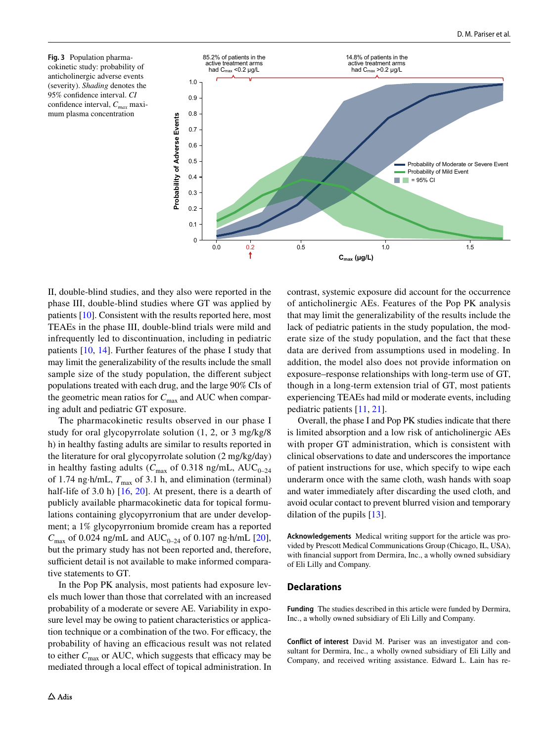<span id="page-9-0"></span>**Fig. 3** Population pharmacokinetic study: probability of anticholinergic adverse events (severity). *Shading* denotes the 95% confdence interval. *CI* confdence interval, *Cmax* maximum plasma concentration



II, double-blind studies, and they also were reported in the phase III, double-blind studies where GT was applied by patients [[10](#page-10-8)]. Consistent with the results reported here, most TEAEs in the phase III, double-blind trials were mild and infrequently led to discontinuation, including in pediatric patients [[10,](#page-10-8) [14](#page-10-10)]. Further features of the phase I study that may limit the generalizability of the results include the small sample size of the study population, the diferent subject populations treated with each drug, and the large 90% CIs of the geometric mean ratios for  $C_{\text{max}}$  and AUC when comparing adult and pediatric GT exposure.

The pharmacokinetic results observed in our phase I study for oral glycopyrrolate solution (1, 2, or 3 mg/kg/8 h) in healthy fasting adults are similar to results reported in the literature for oral glycopyrrolate solution (2 mg/kg/day) in healthy fasting adults ( $C_{\text{max}}$  of 0.318 ng/mL, AUC<sub>0–24</sub> of 1.74 ng·h/mL,  $T_{\text{max}}$  of 3.1 h, and elimination (terminal) half-life of 3.0 h) [[16,](#page-10-5) [20](#page-11-2)]. At present, there is a dearth of publicly available pharmacokinetic data for topical formulations containing glycopyrronium that are under development; a 1% glycopyrronium bromide cream has a reported  $C_{\text{max}}$  of 0.024 ng/mL and AUC<sub>0–24</sub> of 0.107 ng·h/mL [[20](#page-11-2)], but the primary study has not been reported and, therefore, sufficient detail is not available to make informed comparative statements to GT.

In the Pop PK analysis, most patients had exposure levels much lower than those that correlated with an increased probability of a moderate or severe AE. Variability in exposure level may be owing to patient characteristics or application technique or a combination of the two. For efficacy, the probability of having an efficacious result was not related to either  $C_{\text{max}}$  or AUC, which suggests that efficacy may be mediated through a local effect of topical administration. In contrast, systemic exposure did account for the occurrence of anticholinergic AEs. Features of the Pop PK analysis that may limit the generalizability of the results include the lack of pediatric patients in the study population, the moderate size of the study population, and the fact that these data are derived from assumptions used in modeling. In addition, the model also does not provide information on exposure–response relationships with long-term use of GT, though in a long-term extension trial of GT, most patients experiencing TEAEs had mild or moderate events, including pediatric patients [[11,](#page-10-13) [21\]](#page-11-3).

Overall, the phase I and Pop PK studies indicate that there is limited absorption and a low risk of anticholinergic AEs with proper GT administration, which is consistent with clinical observations to date and underscores the importance of patient instructions for use, which specify to wipe each underarm once with the same cloth, wash hands with soap and water immediately after discarding the used cloth, and avoid ocular contact to prevent blurred vision and temporary dilation of the pupils [[13\]](#page-10-7).

**Acknowledgements** Medical writing support for the article was provided by Prescott Medical Communications Group (Chicago, IL, USA), with fnancial support from Dermira, Inc., a wholly owned subsidiary of Eli Lilly and Company.

#### **Declarations**

**Funding** The studies described in this article were funded by Dermira, Inc., a wholly owned subsidiary of Eli Lilly and Company.

**Conflict of interest** David M. Pariser was an investigator and consultant for Dermira, Inc., a wholly owned subsidiary of Eli Lilly and Company, and received writing assistance. Edward L. Lain has re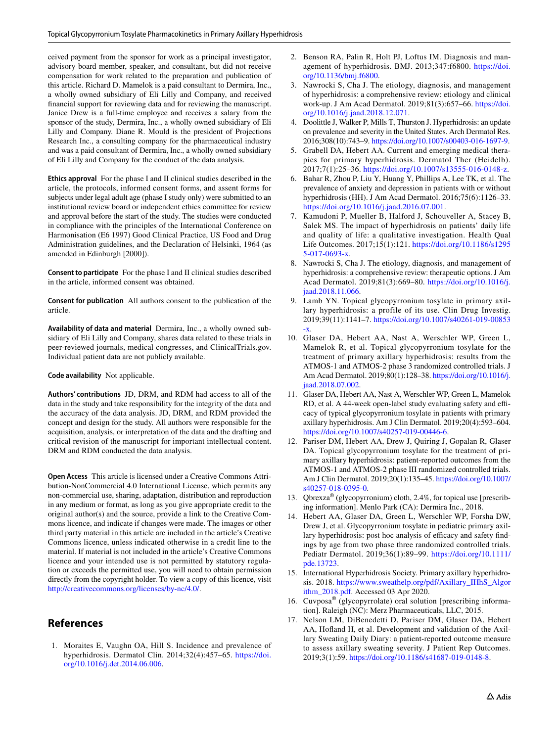ceived payment from the sponsor for work as a principal investigator, advisory board member, speaker, and consultant, but did not receive compensation for work related to the preparation and publication of this article. Richard D. Mamelok is a paid consultant to Dermira, Inc., a wholly owned subsidiary of Eli Lilly and Company, and received fnancial support for reviewing data and for reviewing the manuscript. Janice Drew is a full-time employee and receives a salary from the sponsor of the study, Dermira, Inc., a wholly owned subsidiary of Eli Lilly and Company. Diane R. Mould is the president of Projections Research Inc., a consulting company for the pharmaceutical industry and was a paid consultant of Dermira, Inc., a wholly owned subsidiary of Eli Lilly and Company for the conduct of the data analysis.

**Ethics approval** For the phase I and II clinical studies described in the article, the protocols, informed consent forms, and assent forms for subjects under legal adult age (phase I study only) were submitted to an institutional review board or independent ethics committee for review and approval before the start of the study. The studies were conducted in compliance with the principles of the International Conference on Harmonisation (E6 1997) Good Clinical Practice, US Food and Drug Administration guidelines, and the Declaration of Helsinki, 1964 (as amended in Edinburgh [2000]).

**Consent to participate** For the phase I and II clinical studies described in the article, informed consent was obtained.

**Consent for publication** All authors consent to the publication of the article.

**Availability of data and material** Dermira, Inc., a wholly owned subsidiary of Eli Lilly and Company, shares data related to these trials in peer-reviewed journals, medical congresses, and ClinicalTrials.gov. Individual patient data are not publicly available.

**Code availability** Not applicable.

**Authors' contributions** JD, DRM, and RDM had access to all of the data in the study and take responsibility for the integrity of the data and the accuracy of the data analysis. JD, DRM, and RDM provided the concept and design for the study. All authors were responsible for the acquisition, analysis, or interpretation of the data and the drafting and critical revision of the manuscript for important intellectual content. DRM and RDM conducted the data analysis.

**Open Access** This article is licensed under a Creative Commons Attribution-NonCommercial 4.0 International License, which permits any non-commercial use, sharing, adaptation, distribution and reproduction in any medium or format, as long as you give appropriate credit to the original author(s) and the source, provide a link to the Creative Commons licence, and indicate if changes were made. The images or other third party material in this article are included in the article's Creative Commons licence, unless indicated otherwise in a credit line to the material. If material is not included in the article's Creative Commons licence and your intended use is not permitted by statutory regulation or exceeds the permitted use, you will need to obtain permission directly from the copyright holder. To view a copy of this licence, visit <http://creativecommons.org/licenses/by-nc/4.0/>.

# **References**

<span id="page-10-0"></span>1. Moraites E, Vaughn OA, Hill S. Incidence and prevalence of hyperhidrosis. Dermatol Clin. 2014;32(4):457-65. [https://doi.](https://doi.org/10.1016/j.det.2014.06.006) [org/10.1016/j.det.2014.06.006](https://doi.org/10.1016/j.det.2014.06.006).

- 2. Benson RA, Palin R, Holt PJ, Loftus IM. Diagnosis and management of hyperhidrosis. BMJ. 2013;347:f6800. [https://doi.](https://doi.org/10.1136/bmj.f6800) [org/10.1136/bmj.f6800.](https://doi.org/10.1136/bmj.f6800)
- <span id="page-10-1"></span>3. Nawrocki S, Cha J. The etiology, diagnosis, and management of hyperhidrosis: a comprehensive review: etiology and clinical work-up. J Am Acad Dermatol. 2019;81(3):657–66. [https://doi.](https://doi.org/10.1016/j.jaad.2018.12.071) [org/10.1016/j.jaad.2018.12.071.](https://doi.org/10.1016/j.jaad.2018.12.071)
- 4. Doolittle J, Walker P, Mills T, Thurston J. Hyperhidrosis: an update on prevalence and severity in the United States. Arch Dermatol Res. 2016;308(10):743–9.<https://doi.org/10.1007/s00403-016-1697-9>.
- <span id="page-10-3"></span>5. Grabell DA, Hebert AA. Current and emerging medical therapies for primary hyperhidrosis. Dermatol Ther (Heidelb). 2017;7(1):25–36. [https://doi.org/10.1007/s13555-016-0148-z.](https://doi.org/10.1007/s13555-016-0148-z)
- 6. Bahar R, Zhou P, Liu Y, Huang Y, Phillips A, Lee TK, et al. The prevalence of anxiety and depression in patients with or without hyperhidrosis (HH). J Am Acad Dermatol. 2016;75(6):1126–33. <https://doi.org/10.1016/j.jaad.2016.07.001>.
- <span id="page-10-2"></span>7. Kamudoni P, Mueller B, Halford J, Schouveller A, Stacey B, Salek MS. The impact of hyperhidrosis on patients' daily life and quality of life: a qualitative investigation. Health Qual Life Outcomes. 2017;15(1):121. [https://doi.org/10.1186/s1295](https://doi.org/10.1186/s12955-017-0693-x) [5-017-0693-x.](https://doi.org/10.1186/s12955-017-0693-x)
- <span id="page-10-4"></span>8. Nawrocki S, Cha J. The etiology, diagnosis, and management of hyperhidrosis: a comprehensive review: therapeutic options. J Am Acad Dermatol. 2019;81(3):669–80. [https://doi.org/10.1016/j.](https://doi.org/10.1016/j.jaad.2018.11.066) [jaad.2018.11.066.](https://doi.org/10.1016/j.jaad.2018.11.066)
- <span id="page-10-6"></span>9. Lamb YN. Topical glycopyrronium tosylate in primary axillary hyperhidrosis: a profile of its use. Clin Drug Investig. 2019;39(11):1141–7. [https://doi.org/10.1007/s40261-019-00853](https://doi.org/10.1007/s40261-019-00853-x) [-x](https://doi.org/10.1007/s40261-019-00853-x).
- <span id="page-10-8"></span>10. Glaser DA, Hebert AA, Nast A, Werschler WP, Green L, Mamelok R, et al. Topical glycopyrronium tosylate for the treatment of primary axillary hyperhidrosis: results from the ATMOS-1 and ATMOS-2 phase 3 randomized controlled trials. J Am Acad Dermatol. 2019;80(1):128–38. [https://doi.org/10.1016/j.](https://doi.org/10.1016/j.jaad.2018.07.002) [jaad.2018.07.002.](https://doi.org/10.1016/j.jaad.2018.07.002)
- <span id="page-10-13"></span>11. Glaser DA, Hebert AA, Nast A, Werschler WP, Green L, Mamelok RD, et al. A 44-week open-label study evaluating safety and efficacy of typical glycopyrronium tosylate in patients with primary axillary hyperhidrosis. Am J Clin Dermatol. 2019;20(4):593–604. <https://doi.org/10.1007/s40257-019-00446-6>.
- <span id="page-10-9"></span>12. Pariser DM, Hebert AA, Drew J, Quiring J, Gopalan R, Glaser DA. Topical glycopyrronium tosylate for the treatment of primary axillary hyperhidrosis: patient-reported outcomes from the ATMOS-1 and ATMOS-2 phase III randomized controlled trials. Am J Clin Dermatol. 2019;20(1):135–45. [https://doi.org/10.1007/](https://doi.org/10.1007/s40257-018-0395-0) [s40257-018-0395-0.](https://doi.org/10.1007/s40257-018-0395-0)
- <span id="page-10-7"></span>13. Qbrexza® (glycopyrronium) cloth, 2.4%, for topical use [prescribing information]. Menlo Park (CA): Dermira Inc., 2018.
- <span id="page-10-10"></span>14. Hebert AA, Glaser DA, Green L, Werschler WP, Forsha DW, Drew J, et al. Glycopyrronium tosylate in pediatric primary axillary hyperhidrosis: post hoc analysis of efficacy and safety findings by age from two phase three randomized controlled trials. Pediatr Dermatol. 2019;36(1):89–99. [https://doi.org/10.1111/](https://doi.org/10.1111/pde.13723) [pde.13723](https://doi.org/10.1111/pde.13723).
- <span id="page-10-11"></span>15. International Hyperhidrosis Society. Primary axillary hyperhidrosis. 2018. [https://www.sweathelp.org/pdf/Axillary\\_IHhS\\_Algor](https://www.sweathelp.org/pdf/Axillary_IHhS_Algorithm_2018.pdf) [ithm\\_2018.pdf](https://www.sweathelp.org/pdf/Axillary_IHhS_Algorithm_2018.pdf). Accessed 03 Apr 2020.
- <span id="page-10-5"></span>16. Cuvposa® (glycopyrrolate) oral solution [prescribing information]. Raleigh (NC): Merz Pharmaceuticals, LLC, 2015.
- <span id="page-10-12"></span>17. Nelson LM, DiBenedetti D, Pariser DM, Glaser DA, Hebert AA, Hofand H, et al. Development and validation of the Axillary Sweating Daily Diary: a patient-reported outcome measure to assess axillary sweating severity. J Patient Rep Outcomes. 2019;3(1):59.<https://doi.org/10.1186/s41687-019-0148-8>.